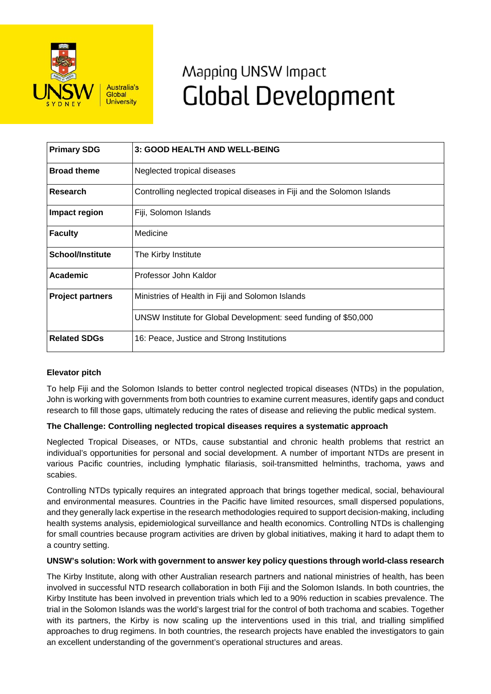

# Mapping UNSW Impact **Global Development**

| <b>Primary SDG</b>      | 3: GOOD HEALTH AND WELL-BEING                                           |
|-------------------------|-------------------------------------------------------------------------|
| <b>Broad theme</b>      | Neglected tropical diseases                                             |
| Research                | Controlling neglected tropical diseases in Fiji and the Solomon Islands |
| Impact region           | Fiji, Solomon Islands                                                   |
| <b>Faculty</b>          | Medicine                                                                |
| <b>School/Institute</b> | The Kirby Institute                                                     |
| Academic                | Professor John Kaldor                                                   |
| <b>Project partners</b> | Ministries of Health in Fiji and Solomon Islands                        |
|                         | UNSW Institute for Global Development: seed funding of \$50,000         |
| <b>Related SDGs</b>     | 16: Peace, Justice and Strong Institutions                              |

## **Elevator pitch**

To help Fiji and the Solomon Islands to better control neglected tropical diseases (NTDs) in the population, John is working with governments from both countries to examine current measures, identify gaps and conduct research to fill those gaps, ultimately reducing the rates of disease and relieving the public medical system.

## **The Challenge: Controlling neglected tropical diseases requires a systematic approach**

Neglected Tropical Diseases, or NTDs, cause substantial and chronic health problems that restrict an individual's opportunities for personal and social development. A number of important NTDs are present in various Pacific countries, including lymphatic filariasis, soil-transmitted helminths, trachoma, yaws and scabies.

Controlling NTDs typically requires an integrated approach that brings together medical, social, behavioural and environmental measures. Countries in the Pacific have limited resources, small dispersed populations, and they generally lack expertise in the research methodologies required to support decision-making, including health systems analysis, epidemiological surveillance and health economics. Controlling NTDs is challenging for small countries because program activities are driven by global initiatives, making it hard to adapt them to a country setting.

### **UNSW's solution: Work with government to answer key policy questions through world-class research**

The Kirby Institute, along with other Australian research partners and national ministries of health, has been involved in successful NTD research collaboration in both Fiji and the Solomon Islands. In both countries, the Kirby Institute has been involved in prevention trials which led to a 90% reduction in scabies prevalence. The trial in the Solomon Islands was the world's largest trial for the control of both trachoma and scabies. Together with its partners, the Kirby is now scaling up the interventions used in this trial, and trialling simplified approaches to drug regimens. In both countries, the research projects have enabled the investigators to gain an excellent understanding of the government's operational structures and areas.